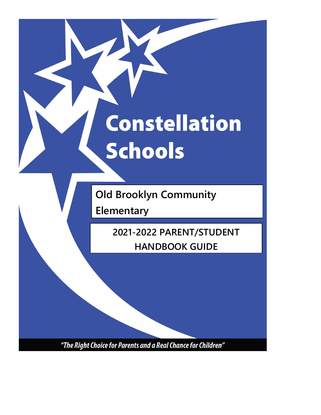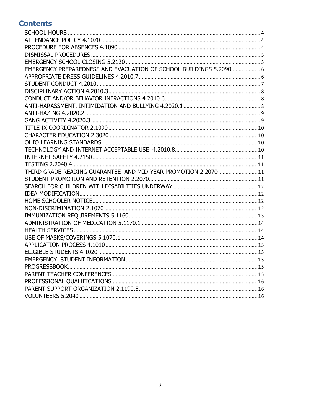## **Contents**

| EMERGENCY PREPAREDNESS AND EVACUATION OF SCHOOL BUILDINGS 5.2090 6 |  |
|--------------------------------------------------------------------|--|
|                                                                    |  |
|                                                                    |  |
|                                                                    |  |
|                                                                    |  |
|                                                                    |  |
|                                                                    |  |
|                                                                    |  |
|                                                                    |  |
|                                                                    |  |
|                                                                    |  |
|                                                                    |  |
|                                                                    |  |
|                                                                    |  |
| THIRD GRADE READING GUARANTEE AND MID-YEAR PROMOTION 2.2070  11    |  |
|                                                                    |  |
|                                                                    |  |
|                                                                    |  |
|                                                                    |  |
|                                                                    |  |
|                                                                    |  |
|                                                                    |  |
|                                                                    |  |
|                                                                    |  |
|                                                                    |  |
|                                                                    |  |
|                                                                    |  |
|                                                                    |  |
|                                                                    |  |
|                                                                    |  |
|                                                                    |  |
|                                                                    |  |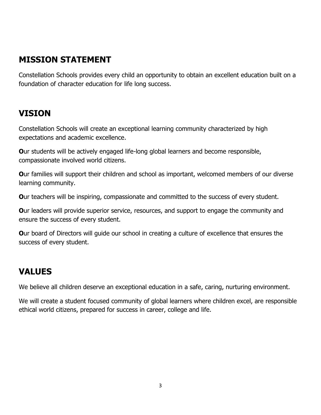## **MISSION STATEMENT**

Constellation Schools provides every child an opportunity to obtain an excellent education built on a foundation of character education for life long success.

## **VISION**

Constellation Schools will create an exceptional learning community characterized by high expectations and academic excellence.

**O**ur students will be actively engaged life-long global learners and become responsible, compassionate involved world citizens.

**O**ur families will support their children and school as important, welcomed members of our diverse learning community.

**O**ur teachers will be inspiring, compassionate and committed to the success of every student.

**O**ur leaders will provide superior service, resources, and support to engage the community and ensure the success of every student.

**O**ur board of Directors will quide our school in creating a culture of excellence that ensures the success of every student.

## **VALUES**

We believe all children deserve an exceptional education in a safe, caring, nurturing environment.

We will create a student focused community of global learners where children excel, are responsible ethical world citizens, prepared for success in career, college and life.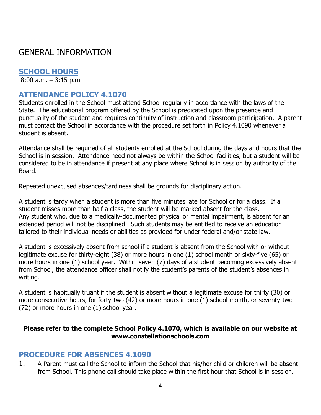## GENERAL INFORMATION

## <span id="page-3-0"></span>**SCHOOL HOURS**

8:00 a.m. – 3:15 p.m.

## <span id="page-3-1"></span>**ATTENDANCE POLICY 4.1070**

Students enrolled in the School must attend School regularly in accordance with the laws of the State. The educational program offered by the School is predicated upon the presence and punctuality of the student and requires continuity of instruction and classroom participation. A parent must contact the School in accordance with the procedure set forth in Policy 4.1090 whenever a student is absent.

Attendance shall be required of all students enrolled at the School during the days and hours that the School is in session. Attendance need not always be within the School facilities, but a student will be considered to be in attendance if present at any place where School is in session by authority of the Board.

Repeated unexcused absences/tardiness shall be grounds for disciplinary action.

A student is tardy when a student is more than five minutes late for School or for a class. If a student misses more than half a class, the student will be marked absent for the class. Any student who, due to a medically-documented physical or mental impairment, is absent for an extended period will not be disciplined. Such students may be entitled to receive an education tailored to their individual needs or abilities as provided for under federal and/or state law.

A student is excessively absent from school if a student is absent from the School with or without legitimate excuse for thirty-eight (38) or more hours in one (1) school month or sixty-five (65) or more hours in one (1) school year. Within seven (7) days of a student becoming excessively absent from School, the attendance officer shall notify the student's parents of the student's absences in writing.

A student is habitually truant if the student is absent without a legitimate excuse for thirty (30) or more consecutive hours, for forty-two (42) or more hours in one (1) school month, or seventy-two (72) or more hours in one (1) school year.

### **Please refer to the complete School Policy 4.1070, which is available on our website at [www.constellationschools.com](http://www.constellationschools.com/)**

## <span id="page-3-2"></span>**PROCEDURE FOR ABSENCES 4.1090**

1. A Parent must call the School to inform the School that his/her child or children will be absent from School. This phone call should take place within the first hour that School is in session.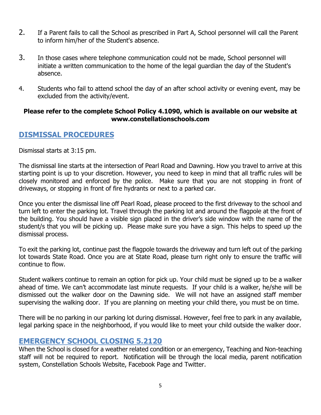- 2. If a Parent fails to call the School as prescribed in Part A, School personnel will call the Parent to inform him/her of the Student's absence.
- 3. In those cases where telephone communication could not be made, School personnel will initiate a written communication to the home of the legal guardian the day of the Student's absence.
- 4. Students who fail to attend school the day of an after school activity or evening event, may be excluded from the activity/event.

### **Please refer to the complete School Policy 4.1090, which is available on our website at www.constellationschools.com**

## <span id="page-4-0"></span>**DISMISSAL PROCEDURES**

Dismissal starts at 3:15 pm.

The dismissal line starts at the intersection of Pearl Road and Dawning. How you travel to arrive at this starting point is up to your discretion. However, you need to keep in mind that all traffic rules will be closely monitored and enforced by the police. Make sure that you are not stopping in front of driveways, or stopping in front of fire hydrants or next to a parked car.

Once you enter the dismissal line off Pearl Road, please proceed to the first driveway to the school and turn left to enter the parking lot. Travel through the parking lot and around the flagpole at the front of the building. You should have a visible sign placed in the driver's side window with the name of the student/s that you will be picking up. Please make sure you have a sign. This helps to speed up the dismissal process.

To exit the parking lot, continue past the flagpole towards the driveway and turn left out of the parking lot towards State Road. Once you are at State Road, please turn right only to ensure the traffic will continue to flow.

Student walkers continue to remain an option for pick up. Your child must be signed up to be a walker ahead of time. We can't accommodate last minute requests. If your child is a walker, he/she will be dismissed out the walker door on the Dawning side. We will not have an assigned staff member supervising the walking door. If you are planning on meeting your child there, you must be on time.

There will be no parking in our parking lot during dismissal. However, feel free to park in any available, legal parking space in the neighborhood, if you would like to meet your child outside the walker door.

## <span id="page-4-1"></span>**EMERGENCY SCHOOL CLOSING 5.2120**

When the School is closed for a weather related condition or an emergency, Teaching and Non-teaching staff will not be required to report.Notification will be through the local media, parent notification system, Constellation Schools Website, Facebook Page and Twitter.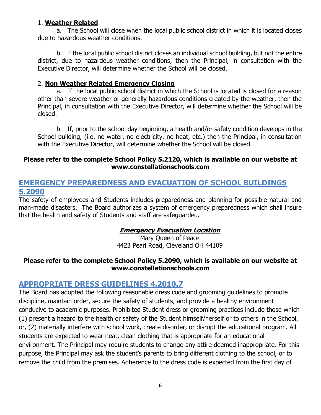#### 1. **Weather Related**

a. The School will close when the local public school district in which it is located closes due to hazardous weather conditions.

b. If the local public school district closes an individual school building, but not the entire district, due to hazardous weather conditions, then the Principal, in consultation with the Executive Director, will determine whether the School will be closed.

### 2. **Non Weather Related Emergency Closing**

a. If the local public school district in which the School is located is closed for a reason other than severe weather or generally hazardous conditions created by the weather, then the Principal, in consultation with the Executive Director, will determine whether the School will be closed.

b. If, prior to the school day beginning, a health and/or safety condition develops in the School building, (i.e. no water, no electricity, no heat, etc.) then the Principal, in consultation with the Executive Director, will determine whether the School will be closed.

#### **Please refer to the complete School Policy 5.2120, which is available on our website at www.constellationschools.com**

## <span id="page-5-0"></span>**EMERGENCY PREPAREDNESS AND EVACUATION OF SCHOOL BUILDINGS 5.2090**

The safety of employees and Students includes preparedness and planning for possible natural and man-made disasters. The Board authorizes a system of emergency preparedness which shall insure that the health and safety of Students and staff are safeguarded.

## **Emergency Evacuation Location**

Mary Queen of Peace 4423 Pearl Road, Cleveland OH 44109

### **Please refer to the complete School Policy 5.2090, which is available on our website at [www.constellationschools.com](http://www.constellationschools.com/)**

## <span id="page-5-1"></span>**APPROPRIATE DRESS GUIDELINES 4.2010.7**

The Board has adopted the following reasonable dress code and grooming guidelines to promote discipline, maintain order, secure the safety of students, and provide a healthy environment conducive to academic purposes. Prohibited Student dress or grooming practices include those which (1) present a hazard to the health or safety of the Student himself/herself or to others in the School, or, (2) materially interfere with school work, create disorder, or disrupt the educational program. All students are expected to wear neat, clean clothing that is appropriate for an educational environment. The Principal may require students to change any attire deemed inappropriate. For this purpose, the Principal may ask the student's parents to bring different clothing to the school, or to remove the child from the premises. Adherence to the dress code is expected from the first day of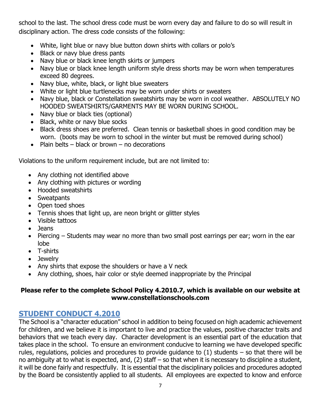school to the last. The school dress code must be worn every day and failure to do so will result in disciplinary action. The dress code consists of the following:

- White, light blue or navy blue button down shirts with collars or polo's
- Black or navy blue dress pants
- Navy blue or black knee length skirts or jumpers
- Navy blue or black knee length uniform style dress shorts may be worn when temperatures exceed 80 degrees.
- Navy blue, white, black, or light blue sweaters
- White or light blue turtlenecks may be worn under shirts or sweaters
- Navy blue, black or Constellation sweatshirts may be worn in cool weather. ABSOLUTELY NO HOODED SWEATSHIRTS/GARMENTS MAY BE WORN DURING SCHOOL.
- Navy blue or black ties (optional)
- Black, white or navy blue socks
- Black dress shoes are preferred. Clean tennis or basketball shoes in good condition may be worn. (boots may be worn to school in the winter but must be removed during school)
- Plain belts black or brown no decorations

Violations to the uniform requirement include, but are not limited to:

- Any clothing not identified above
- Any clothing with pictures or wording
- Hooded sweatshirts
- Sweatpants
- Open toed shoes
- Tennis shoes that light up, are neon bright or glitter styles
- Visible tattoos
- Jeans
- Piercing Students may wear no more than two small post earrings per ear; worn in the ear lobe
- T-shirts
- Jewelry
- Any shirts that expose the shoulders or have a V neck
- Any clothing, shoes, hair color or style deemed inappropriate by the Principal

## **Please refer to the complete School Policy 4.2010.7, which is available on our website at www.constellationschools.com**

## <span id="page-6-0"></span>**STUDENT CONDUCT 4.2010**

The School is a "character education" school in addition to being focused on high academic achievement for children, and we believe it is important to live and practice the values, positive character traits and behaviors that we teach every day. Character development is an essential part of the education that takes place in the school. To ensure an environment conducive to learning we have developed specific rules, regulations, policies and procedures to provide guidance to  $(1)$  students – so that there will be no ambiguity at to what is expected, and, (2) staff – so that when it is necessary to discipline a student, it will be done fairly and respectfully. It is essential that the disciplinary policies and procedures adopted by the Board be consistently applied to all students. All employees are expected to know and enforce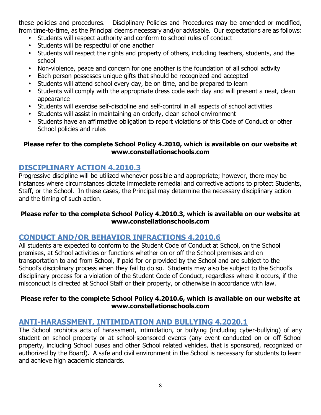these policies and procedures. Disciplinary Policies and Procedures may be amended or modified, from time-to-time, as the Principal deems necessary and/or advisable. Our expectations are as follows:

- Students will respect authority and conform to school rules of conduct
- Students will be respectful of one another
- Students will respect the rights and property of others, including teachers, students, and the school
- Non-violence, peace and concern for one another is the foundation of all school activity
- Each person possesses unique gifts that should be recognized and accepted
- Students will attend school every day, be on time, and be prepared to learn
- Students will comply with the appropriate dress code each day and will present a neat, clean appearance
- Students will exercise self-discipline and self-control in all aspects of school activities
- Students will assist in maintaining an orderly, clean school environment
- Students have an affirmative obligation to report violations of this Code of Conduct or other School policies and rules

#### **Please refer to the complete School Policy 4.2010, which is available on our website at www.constellationschools.com**

## <span id="page-7-0"></span>**DISCIPLINARY ACTION 4.2010.3**

Progressive discipline will be utilized whenever possible and appropriate; however, there may be instances where circumstances dictate immediate remedial and corrective actions to protect Students, Staff, or the School. In these cases, the Principal may determine the necessary disciplinary action and the timing of such action.

### **Please refer to the complete School Policy 4.2010.3, which is available on our website at www.constellationschools.com**

## <span id="page-7-1"></span>**CONDUCT AND/OR BEHAVIOR INFRACTIONS 4.2010.6**

All students are expected to conform to the Student Code of Conduct at School, on the School premises, at School activities or functions whether on or off the School premises and on transportation to and from School, if paid for or provided by the School and are subject to the School's disciplinary process when they fail to do so. Students may also be subject to the School's disciplinary process for a violation of the Student Code of Conduct, regardless where it occurs, if the misconduct is directed at School Staff or their property, or otherwise in accordance with law.

#### **Please refer to the complete School Policy 4.2010.6, which is available on our website at www.constellationschools.com**

## <span id="page-7-2"></span>**ANTI-HARASSMENT, INTIMIDATION AND BULLYING 4.2020.1**

The School prohibits acts of harassment, intimidation, or bullying (including cyber-bullying) of any student on school property or at school-sponsored events (any event conducted on or off School property, including School buses and other School related vehicles, that is sponsored, recognized or authorized by the Board). A safe and civil environment in the School is necessary for students to learn and achieve high academic standards.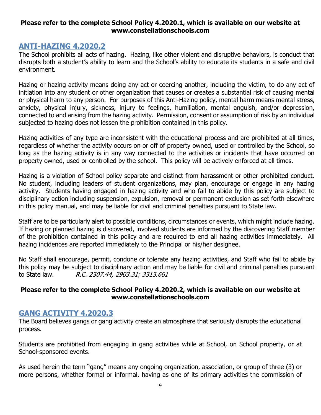#### **Please refer to the complete School Policy 4.2020.1, which is available on our website at www.constellationschools.com**

### <span id="page-8-0"></span>**ANTI-HAZING 4.2020.2**

The School prohibits all acts of hazing. Hazing, like other violent and disruptive behaviors, is conduct that disrupts both a student's ability to learn and the School's ability to educate its students in a safe and civil environment.

Hazing or hazing activity means doing any act or coercing another, including the victim, to do any act of initiation into any student or other organization that causes or creates a substantial risk of causing mental or physical harm to any person. For purposes of this Anti-Hazing policy, mental harm means mental stress, anxiety, physical injury, sickness, injury to feelings, humiliation, mental anguish, and/or depression, connected to and arising from the hazing activity. Permission, consent or assumption of risk by an individual subjected to hazing does not lessen the prohibition contained in this policy.

Hazing activities of any type are inconsistent with the educational process and are prohibited at all times, regardless of whether the activity occurs on or off of property owned, used or controlled by the School, so long as the hazing activity is in any way connected to the activities or incidents that have occurred on property owned, used or controlled by the school. This policy will be actively enforced at all times.

Hazing is a violation of School policy separate and distinct from harassment or other prohibited conduct. No student, including leaders of student organizations, may plan, encourage or engage in any hazing activity. Students having engaged in hazing activity and who fail to abide by this policy are subject to disciplinary action including suspension, expulsion, removal or permanent exclusion as set forth elsewhere in this policy manual, and may be liable for civil and criminal penalties pursuant to State law.

Staff are to be particularly alert to possible conditions, circumstances or events, which might include hazing. If hazing or planned hazing is discovered, involved students are informed by the discovering Staff member of the prohibition contained in this policy and are required to end all hazing activities immediately. All hazing incidences are reported immediately to the Principal or his/her designee.

No Staff shall encourage, permit, condone or tolerate any hazing activities, and Staff who fail to abide by this policy may be subject to disciplinary action and may be liable for civil and criminal penalties pursuant to State law. R.C. 2307.44, 2903.31; 3313.661

#### **Please refer to the complete School Policy 4.2020.2, which is available on our website at [www.constellationschools.com](http://www.constellationschools.com/)**

### <span id="page-8-1"></span>**GANG ACTIVITY 4.2020.3**

The Board believes gangs or gang activity create an atmosphere that seriously disrupts the educational process.

Students are prohibited from engaging in gang activities while at School, on School property, or at School-sponsored events.

As used herein the term "gang" means any ongoing organization, association, or group of three (3) or more persons, whether formal or informal, having as one of its primary activities the commission of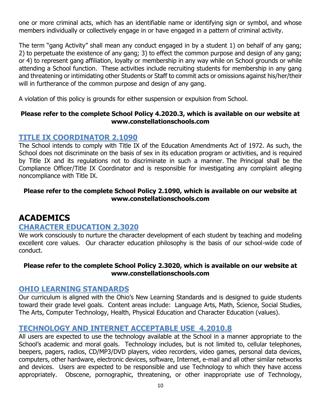one or more criminal acts, which has an identifiable name or identifying sign or symbol, and whose members individually or collectively engage in or have engaged in a pattern of criminal activity.

The term "gang Activity" shall mean any conduct engaged in by a student 1) on behalf of any gang; 2) to perpetuate the existence of any gang; 3) to effect the common purpose and design of any gang; or 4) to represent gang affiliation, loyalty or membership in any way while on School grounds or while attending a School function. These activities include recruiting students for membership in any gang and threatening or intimidating other Students or Staff to commit acts or omissions against his/her/their will in furtherance of the common purpose and design of any gang.

A violation of this policy is grounds for either suspension or expulsion from School.

#### **Please refer to the complete School Policy 4.2020.3, which is available on our website at [www.constellationschools.com](http://www.constellationschools.com/)**

### <span id="page-9-0"></span>**TITLE IX COORDINATOR 2.1090**

The School intends to comply with Title IX of the Education Amendments Act of 1972. As such, the School does not discriminate on the basis of sex in its education program or activities, and is required by Title IX and its regulations not to discriminate in such a manner. The Principal shall be the Compliance Officer/Title IX Coordinator and is responsible for investigating any complaint alleging noncompliance with Title IX.

#### **Please refer to the complete School Policy 2.1090, which is available on our website at [www.constellationschools.com](http://www.constellationschools.com/)**

## **ACADEMICS**

### <span id="page-9-1"></span>**CHARACTER EDUCATION 2.3020**

We work consciously to nurture the character development of each student by teaching and modeling excellent core values. Our character education philosophy is the basis of our school-wide code of conduct.

#### **Please refer to the complete School Policy 2.3020, which is available on our website at www.constellationschools.com**

#### <span id="page-9-2"></span>**OHIO LEARNING STANDARDS**

Our curriculum is aligned with the Ohio's New Learning Standards and is designed to guide students toward their grade level goals. Content areas include: Language Arts, Math, Science, Social Studies, The Arts, Computer Technology, Health, Physical Education and Character Education (values).

#### <span id="page-9-3"></span>**TECHNOLOGY AND INTERNET ACCEPTABLE USE 4.2010.8**

All users are expected to use the technology available at the School in a manner appropriate to the School's academic and moral goals. Technology includes, but is not limited to, cellular telephones, beepers, pagers, radios, CD/MP3/DVD players, video recorders, video games, personal data devices, computers, other hardware, electronic devices, software, Internet, e-mail and all other similar networks and devices. Users are expected to be responsible and use Technology to which they have access appropriately. Obscene, pornographic, threatening, or other inappropriate use of Technology,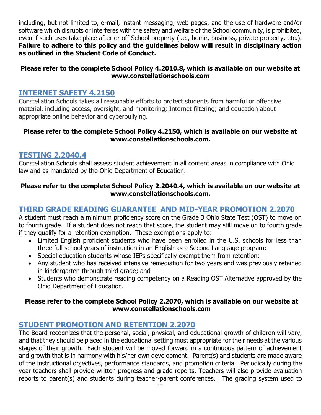including, but not limited to, e-mail, instant messaging, web pages, and the use of hardware and/or software which disrupts or interferes with the safety and welfare of the School community, is prohibited, even if such uses take place after or off School property (i.e., home, business, private property, etc.). **Failure to adhere to this policy and the guidelines below will result in disciplinary action as outlined in the Student Code of Conduct.**

### **Please refer to the complete School Policy 4.2010.8, which is available on our website at www.constellationschools.com**

## <span id="page-10-0"></span>**INTERNET SAFETY 4.2150**

Constellation Schools takes all reasonable efforts to protect students from harmful or offensive material, including access, oversight, and monitoring; Internet filtering; and education about appropriate online behavior and cyberbullying.

#### **Please refer to the complete School Policy 4.2150, which is available on our website at www.constellationschools.com.**

## <span id="page-10-1"></span>**TESTING 2.2040.4**

Constellation Schools shall assess student achievement in all content areas in compliance with Ohio law and as mandated by the Ohio Department of Education.

### **Please refer to the complete School Policy 2.2040.4, which is available on our website at www.constellationschools.com.**

## <span id="page-10-2"></span>**THIRD GRADE READING GUARANTEE AND MID-YEAR PROMOTION 2.2070**

A student must reach a minimum proficiency score on the Grade 3 Ohio State Test (OST) to move on to fourth grade. If a student does not reach that score, the student may still move on to fourth grade if they qualify for a retention exemption. These exemptions apply to:

- Limited English proficient students who have been enrolled in the U.S. schools for less than three full school years of instruction in an English as a Second Language program;
- Special education students whose IEPs specifically exempt them from retention;
- Any student who has received intensive remediation for two years and was previously retained in kindergarten through third grade; and
- Students who demonstrate reading competency on a Reading OST Alternative approved by the Ohio Department of Education.

### **Please refer to the complete School Policy 2.2070, which is available on our website at www.constellationschools.com**

## <span id="page-10-3"></span>**STUDENT PROMOTION AND RETENTION 2.2070**

The Board recognizes that the personal, social, physical, and educational growth of children will vary, and that they should be placed in the educational setting most appropriate for their needs at the various stages of their growth. Each student will be moved forward in a continuous pattern of achievement and growth that is in harmony with his/her own development. Parent(s) and students are made aware of the instructional objectives, performance standards, and promotion criteria. Periodically during the year teachers shall provide written progress and grade reports. Teachers will also provide evaluation reports to parent(s) and students during teacher-parent conferences. The grading system used to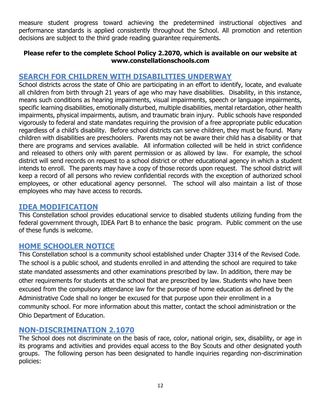measure student progress toward achieving the predetermined instructional objectives and performance standards is applied consistently throughout the School. All promotion and retention decisions are subject to the third grade reading guarantee requirements.

#### **Please refer to the complete School Policy 2.2070, which is available on our website at [www.constellationschools.com](http://www.constellationschools.com/)**

## <span id="page-11-0"></span>**SEARCH FOR CHILDREN WITH DISABILITIES UNDERWAY**

School districts across the state of Ohio are participating in an effort to identify, locate, and evaluate all children from birth through 21 years of age who may have disabilities. Disability, in this instance, means such conditions as hearing impairments, visual impairments, speech or language impairments, specific learning disabilities, emotionally disturbed, multiple disabilities, mental retardation, other health impairments, physical impairments, autism, and traumatic brain injury. Public schools have responded vigorously to federal and state mandates requiring the provision of a free appropriate public education regardless of a child's disability. Before school districts can serve children, they must be found. Many children with disabilities are preschoolers. Parents may not be aware their child has a disability or that there are programs and services available. All information collected will be held in strict confidence and released to others only with parent permission or as allowed by law. For example, the school district will send records on request to a school district or other educational agency in which a student intends to enroll. The parents may have a copy of those records upon request. The school district will keep a record of all persons who review confidential records with the exception of authorized school employees, or other educational agency personnel. The school will also maintain a list of those employees who may have access to records.

### <span id="page-11-1"></span>**IDEA MODIFICATION**

This Constellation school provides educational service to disabled students utilizing funding from the federal government through, IDEA Part B to enhance the basic program. Public comment on the use of these funds is welcome.

## <span id="page-11-2"></span>**HOME SCHOOLER NOTICE**

This Constellation school is a community school established under Chapter 3314 of the Revised Code. The school is a public school, and students enrolled in and attending the school are required to take state mandated assessments and other examinations prescribed by law. In addition, there may be other requirements for students at the school that are prescribed by law. Students who have been excused from the compulsory attendance law for the purpose of home education as defined by the Administrative Code shall no longer be excused for that purpose upon their enrollment in a community school. For more information about this matter, contact the school administration or the Ohio Department of Education.

### <span id="page-11-3"></span>**NON-DISCRIMINATION 2.1070**

The School does not discriminate on the basis of race, color, national origin, sex, disability, or age in its programs and activities and provides equal access to the Boy Scouts and other designated youth groups. The following person has been designated to handle inquiries regarding non-discrimination policies: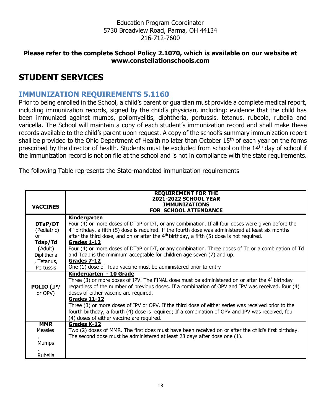Education Program Coordinator 5730 Broadview Road, Parma, OH 44134 216-712-7600

#### **Please refer to the complete School Policy 2.1070, which is available on our website at [www.constellationschools.com](http://www.constellationschools.com/)**

## **STUDENT SERVICES**

## <span id="page-12-0"></span>**IMMUNIZATION REQUIREMENTS 5.1160**

Prior to being enrolled in the School, a child's parent or guardian must provide a complete medical report, including immunization records, signed by the child's physician, including: evidence that the child has been immunized against mumps, poliomyelitis, diphtheria, pertussis, tetanus, rubeola, rubella and varicella. The School will maintain a copy of each student's immunization record and shall make these records available to the child's parent upon request. A copy of the school's summary immunization report shall be provided to the Ohio Department of Health no later than October 15<sup>th</sup> of each year on the forms prescribed by the director of health. Students must be excluded from school on the 14<sup>th</sup> day of school if the immunization record is not on file at the school and is not in compliance with the state requirements.

The following Table represents the State-mandated immunization requirements

|                   | <b>REQUIREMENT FOR THE</b>                                                                                 |
|-------------------|------------------------------------------------------------------------------------------------------------|
|                   | 2021-2022 SCHOOL YEAR                                                                                      |
| <b>VACCINES</b>   | <b>IMMUNIZATIONS</b><br><b>FOR SCHOOL ATTENDANCE</b>                                                       |
|                   | <b>Kindergarten</b>                                                                                        |
| DTaP/DT           | Four (4) or more doses of DTaP or DT, or any combination. If all four doses were given before the          |
| (Pediatric)       | $4th$ birthday, a fifth (5) dose is required. If the fourth dose was administered at least six months      |
| or                | after the third dose, and on or after the $4th$ birthday, a fifth (5) dose is not required.                |
| Tdap/Td           | Grades 1-12                                                                                                |
| (Adult)           | Four (4) or more doses of DTaP or DT, or any combination. Three doses of Td or a combination of Td         |
| Diphtheria        | and Tdap is the minimum acceptable for children age seven (7) and up.                                      |
| , Tetanus,        | <b>Grades 7-12</b>                                                                                         |
| Pertussis         | One (1) dose of Tdap vaccine must be administered prior to entry                                           |
|                   | Kindergarten - 10 Grade                                                                                    |
|                   | Three (3) or more doses of IPV. The FINAL dose must be administered on or after the $4^{\degree}$ birthday |
| <b>POLIO (IPV</b> | regardless of the number of previous doses. If a combination of OPV and IPV was received, four (4)         |
| or OPV)           | doses of either vaccine are required.<br>Grades 11-12                                                      |
|                   | Three (3) or more doses of IPV or OPV. If the third dose of either series was received prior to the        |
|                   | fourth birthday, a fourth (4) dose is required; If a combination of OPV and IPV was received, four         |
|                   | (4) doses of either vaccine are required.                                                                  |
| <b>MMR</b>        | Grades K-12                                                                                                |
| <b>Measles</b>    | Two (2) doses of MMR. The first does must have been received on or after the child's first birthday.       |
|                   | The second dose must be administered at least 28 days after dose one (1).                                  |
| <b>Mumps</b>      |                                                                                                            |
|                   |                                                                                                            |
| Rubella           |                                                                                                            |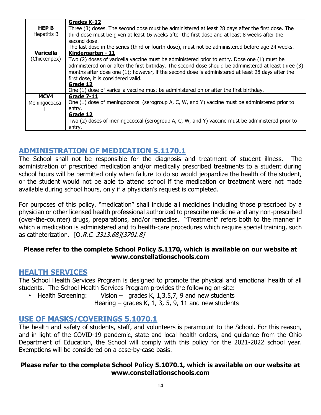| <b>HEP B</b><br>Hepatitis B      | Grades K-12<br>Three (3) doses. The second dose must be administered at least 28 days after the first dose. The<br>third dose must be given at least 16 weeks after the first dose and at least 8 weeks after the<br>second dose.<br>The last dose in the series (third or fourth dose), must not be administered before age 24 weeks. |
|----------------------------------|----------------------------------------------------------------------------------------------------------------------------------------------------------------------------------------------------------------------------------------------------------------------------------------------------------------------------------------|
| <b>Varicella</b><br>(Chickenpox) | Kindergarten - 11<br>Two (2) doses of varicella vaccine must be administered prior to entry. Dose one (1) must be                                                                                                                                                                                                                      |
|                                  | administered on or after the first birthday. The second dose should be administered at least three (3)<br>months after dose one (1); however, if the second dose is administered at least 28 days after the                                                                                                                            |
|                                  | first dose, it is considered valid.<br>Grade 12                                                                                                                                                                                                                                                                                        |
|                                  | One (1) dose of varicella vaccine must be administered on or after the first birthday.                                                                                                                                                                                                                                                 |
| MCV4                             | <b>Grade 7-11</b>                                                                                                                                                                                                                                                                                                                      |
| Meningococca                     | One (1) dose of meningococcal (serogroup A, C, W, and Y) vaccine must be administered prior to                                                                                                                                                                                                                                         |
|                                  | entry.                                                                                                                                                                                                                                                                                                                                 |
|                                  | Grade 12                                                                                                                                                                                                                                                                                                                               |
|                                  | Two (2) doses of meningococcal (serogroup A, C, W, and Y) vaccine must be administered prior to                                                                                                                                                                                                                                        |
|                                  | entry.                                                                                                                                                                                                                                                                                                                                 |

## <span id="page-13-0"></span>**ADMINISTRATION OF MEDICATION 5.1170.1**

The School shall not be responsible for the diagnosis and treatment of student illness. The administration of prescribed medication and/or medically prescribed treatments to a student during school hours will be permitted only when failure to do so would jeopardize the health of the student, or the student would not be able to attend school if the medication or treatment were not made available during school hours, only if a physician's request is completed.

For purposes of this policy, "medication" shall include all medicines including those prescribed by a physician or other licensed health professional authorized to prescribe medicine and any non-prescribed (over-the-counter) drugs, preparations, and/or remedies. "Treatment" refers both to the manner in which a medication is administered and to health-care procedures which require special training, such as catheterization. [O.R.C. 3313.68][3701.8]

### **Please refer to the complete School Policy 5.1170, which is available on our website at www.constellationschools.com**

## <span id="page-13-1"></span>**HEALTH SERVICES**

The School Health Services Program is designed to promote the physical and emotional health of all students. The School Health Services Program provides the following on-site:

• Health Screening: Vision – grades K,  $1,3,5,7$ , 9 and new students Hearing – grades K, 1, 3, 5, 9, 11 and new students

## <span id="page-13-2"></span>**USE OF MASKS/COVERINGS 5.1070.1**

The health and safety of students, staff, and volunteers is paramount to the School. For this reason, and in light of the COVID-19 pandemic, state and local health orders, and guidance from the Ohio Department of Education, the School will comply with this policy for the 2021-2022 school year. Exemptions will be considered on a case-by-case basis.

#### **Please refer to the complete School Policy 5.1070.1, which is available on our website at [www.constellationschools.com](http://www.constellationschools.com/)**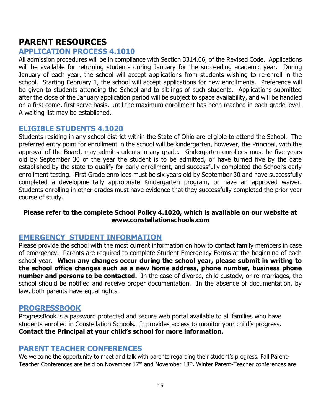## **PARENT RESOURCES**

## <span id="page-14-0"></span>**APPLICATION PROCESS 4.1010**

All admission procedures will be in compliance with Section 3314.06, of the Revised Code. Applications will be available for returning students during January for the succeeding academic year. During January of each year, the school will accept applications from students wishing to re-enroll in the school. Starting February 1, the school will accept applications for new enrollments. Preference will be given to students attending the School and to siblings of such students. Applications submitted after the close of the January application period will be subject to space availability, and will be handled on a first come, first serve basis, until the maximum enrollment has been reached in each grade level. A waiting list may be established.

## <span id="page-14-1"></span>**ELIGIBLE STUDENTS 4.1020**

Students residing in any school district within the State of Ohio are eligible to attend the School. The preferred entry point for enrollment in the school will be kindergarten, however, the Principal, with the approval of the Board, may admit students in any grade. Kindergarten enrollees must be five years old by September 30 of the year the student is to be admitted, or have turned five by the date established by the state to qualify for early enrollment, and successfully completed the School's early enrollment testing. First Grade enrollees must be six years old by September 30 and have successfully completed a developmentally appropriate Kindergarten program, or have an approved waiver. Students enrolling in other grades must have evidence that they successfully completed the prior year course of study.

#### **Please refer to the complete School Policy 4.1020, which is available on our website at www.constellationschools.com**

## <span id="page-14-2"></span>**EMERGENCY STUDENT INFORMATION**

Please provide the school with the most current information on how to contact family members in case of emergency. Parents are required to complete Student Emergency Forms at the beginning of each school year. **When any changes occur during the school year, please submit in writing to the school office changes such as a new home address, phone number, business phone number and persons to be contacted.** In the case of divorce, child custody, or re-marriages, the school should be notified and receive proper documentation. In the absence of documentation, by law, both parents have equal rights.

### <span id="page-14-3"></span>**PROGRESSBOOK**

ProgressBook is a password protected and secure web portal available to all families who have students enrolled in Constellation Schools. It provides access to monitor your child's progress. **Contact the Principal at your child's school for more information.**

### <span id="page-14-4"></span>**PARENT TEACHER CONFERENCES**

We welcome the opportunity to meet and talk with parents regarding their student's progress. Fall Parent-Teacher Conferences are held on November 17<sup>th</sup> and November 18<sup>th</sup>. Winter Parent-Teacher conferences are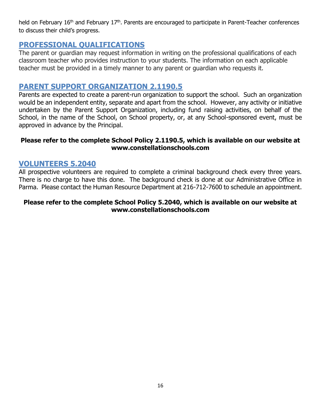held on February 16<sup>th</sup> and February 17<sup>th</sup>. Parents are encouraged to participate in Parent-Teacher conferences to discuss their child's progress.

## <span id="page-15-0"></span>**PROFESSIONAL QUALIFICATIONS**

The parent or guardian may request information in writing on the professional qualifications of each classroom teacher who provides instruction to your students. The information on each applicable teacher must be provided in a timely manner to any parent or guardian who requests it.

## <span id="page-15-1"></span>**PARENT SUPPORT ORGANIZATION 2.1190.5**

Parents are expected to create a parent-run organization to support the school. Such an organization would be an independent entity, separate and apart from the school. However, any activity or initiative undertaken by the Parent Support Organization, including fund raising activities, on behalf of the School, in the name of the School, on School property, or, at any School-sponsored event, must be approved in advance by the Principal.

#### **Please refer to the complete School Policy 2.1190.5, which is available on our website at www.constellationschools.com**

### <span id="page-15-2"></span>**VOLUNTEERS 5.2040**

All prospective volunteers are required to complete a criminal background check every three years. There is no charge to have this done. The background check is done at our Administrative Office in Parma. Please contact the Human Resource Department at 216-712-7600 to schedule an appointment.

#### **Please refer to the complete School Policy 5.2040, which is available on our website at [www.constellationschools.com](http://www.constellationschools.com/)**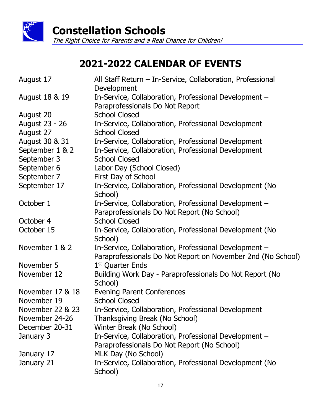

# **2021-2022 CALENDAR OF EVENTS**

| August 17        | All Staff Return - In-Service, Collaboration, Professional<br>Development                                            |
|------------------|----------------------------------------------------------------------------------------------------------------------|
| August 18 & 19   | In-Service, Collaboration, Professional Development -<br>Paraprofessionals Do Not Report                             |
| August 20        | <b>School Closed</b>                                                                                                 |
| August 23 - 26   | In-Service, Collaboration, Professional Development                                                                  |
| August 27        | <b>School Closed</b>                                                                                                 |
| August 30 & 31   | In-Service, Collaboration, Professional Development                                                                  |
| September 1 & 2  | In-Service, Collaboration, Professional Development                                                                  |
| September 3      | <b>School Closed</b>                                                                                                 |
| September 6      | Labor Day (School Closed)                                                                                            |
| September 7      | First Day of School                                                                                                  |
| September 17     | In-Service, Collaboration, Professional Development (No<br>School)                                                   |
| October 1        | In-Service, Collaboration, Professional Development -                                                                |
|                  | Paraprofessionals Do Not Report (No School)                                                                          |
| October 4        | <b>School Closed</b>                                                                                                 |
| October 15       | In-Service, Collaboration, Professional Development (No<br>School)                                                   |
| November 1 & 2   | In-Service, Collaboration, Professional Development -<br>Paraprofessionals Do Not Report on November 2nd (No School) |
| November 5       | 1 <sup>st</sup> Quarter Ends                                                                                         |
| November 12      | Building Work Day - Paraprofessionals Do Not Report (No<br>School)                                                   |
| November 17 & 18 | <b>Evening Parent Conferences</b>                                                                                    |
| November 19      | <b>School Closed</b>                                                                                                 |
| November 22 & 23 | In-Service, Collaboration, Professional Development                                                                  |
| November 24-26   | Thanksgiving Break (No School)                                                                                       |
| December 20-31   | Winter Break (No School)                                                                                             |
| January 3        | In-Service, Collaboration, Professional Development -                                                                |
|                  | Paraprofessionals Do Not Report (No School)                                                                          |
| January 17       | MLK Day (No School)                                                                                                  |
| January 21       | In-Service, Collaboration, Professional Development (No<br>School)                                                   |